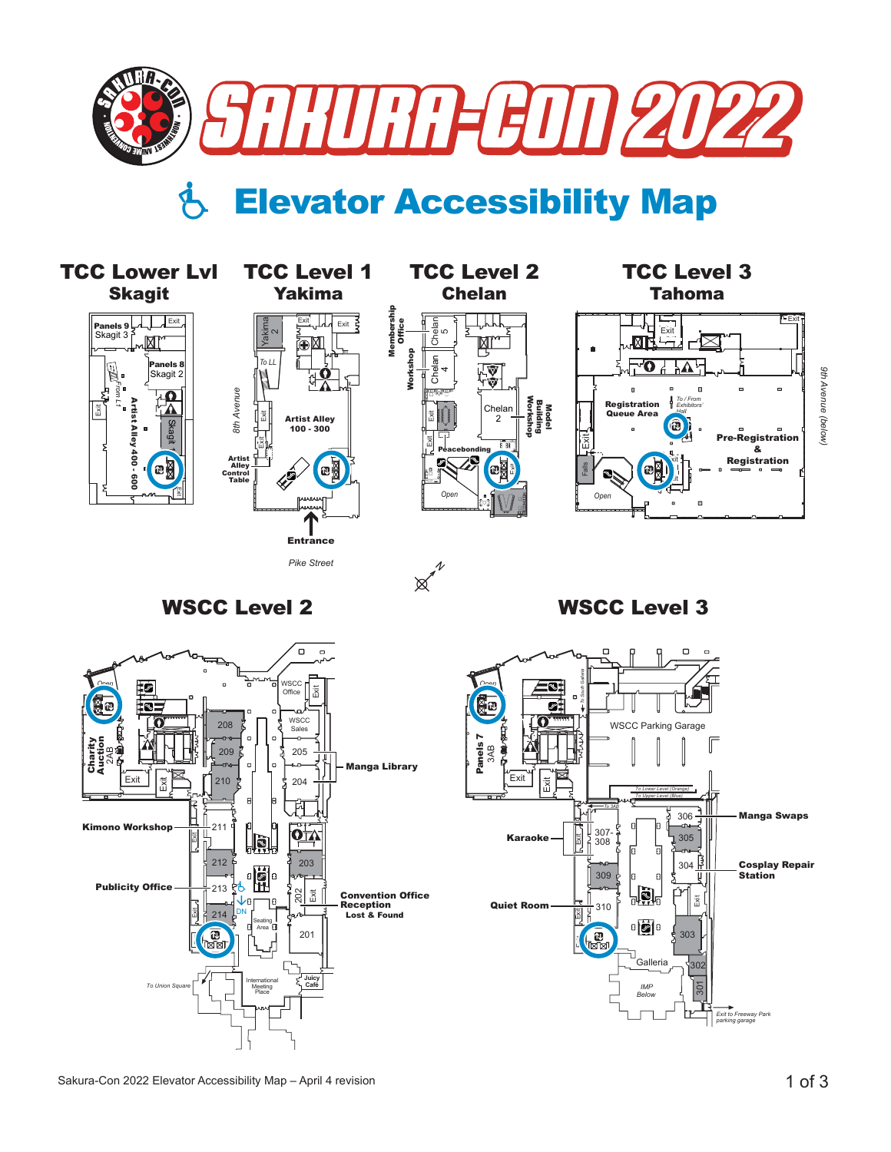

## Elevator Accessibility Map







*9th Avenue (below)*

9th Avenue (below)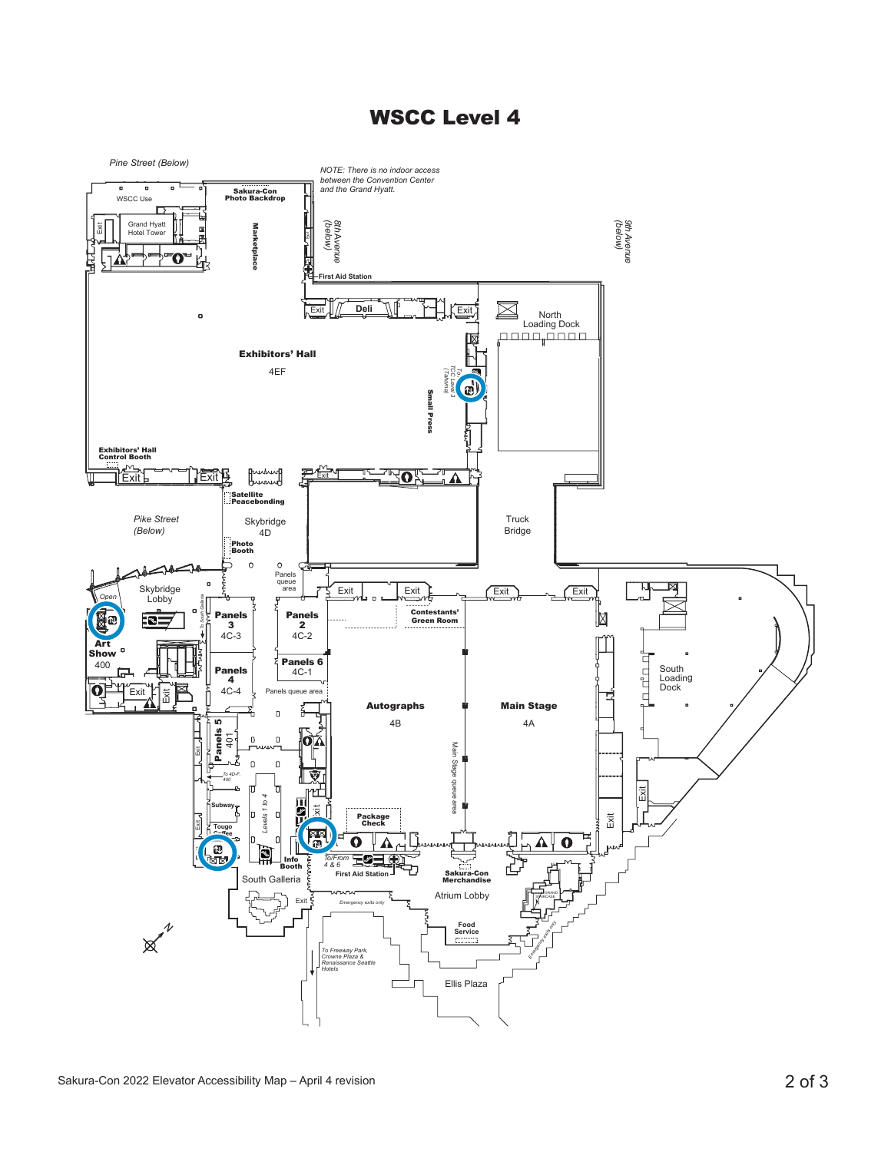## WSCC Level 4